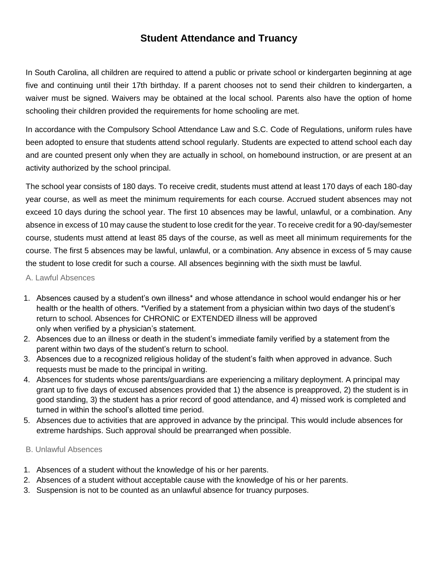# **Student Attendance and Truancy**

In South Carolina, all children are required to attend a public or private school or kindergarten beginning at age five and continuing until their 17th birthday. If a parent chooses not to send their children to kindergarten, a waiver must be signed. Waivers may be obtained at the local school. Parents also have the option of home schooling their children provided the requirements for home schooling are met.

In accordance with the Compulsory School Attendance Law and S.C. Code of Regulations, uniform rules have been adopted to ensure that students attend school regularly. Students are expected to attend school each day and are counted present only when they are actually in school, on homebound instruction, or are present at an activity authorized by the school principal.

The school year consists of 180 days. To receive credit, students must attend at least 170 days of each 180-day year course, as well as meet the minimum requirements for each course. Accrued student absences may not exceed 10 days during the school year. The first 10 absences may be lawful, unlawful, or a combination. Any absence in excess of 10 may cause the student to lose credit for the year. To receive credit for a 90-day/semester course, students must attend at least 85 days of the course, as well as meet all minimum requirements for the course. The first 5 absences may be lawful, unlawful, or a combination. Any absence in excess of 5 may cause the student to lose credit for such a course. All absences beginning with the sixth must be lawful.

#### A. Lawful Absences

- 1. Absences caused by a student's own illness\* and whose attendance in school would endanger his or her health or the health of others. \*Verified by a statement from a physician within two days of the student's return to school. Absences for CHRONIC or EXTENDED illness will be approved only when verified by a physician's statement.
- 2. Absences due to an illness or death in the student's immediate family verified by a statement from the parent within two days of the student's return to school.
- 3. Absences due to a recognized religious holiday of the student's faith when approved in advance. Such requests must be made to the principal in writing.
- 4. Absences for students whose parents/guardians are experiencing a military deployment. A principal may grant up to five days of excused absences provided that 1) the absence is preapproved, 2) the student is in good standing, 3) the student has a prior record of good attendance, and 4) missed work is completed and turned in within the school's allotted time period.
- 5. Absences due to activities that are approved in advance by the principal. This would include absences for extreme hardships. Such approval should be prearranged when possible.

#### B. Unlawful Absences

- 1. Absences of a student without the knowledge of his or her parents.
- 2. Absences of a student without acceptable cause with the knowledge of his or her parents.
- 3. Suspension is not to be counted as an unlawful absence for truancy purposes.